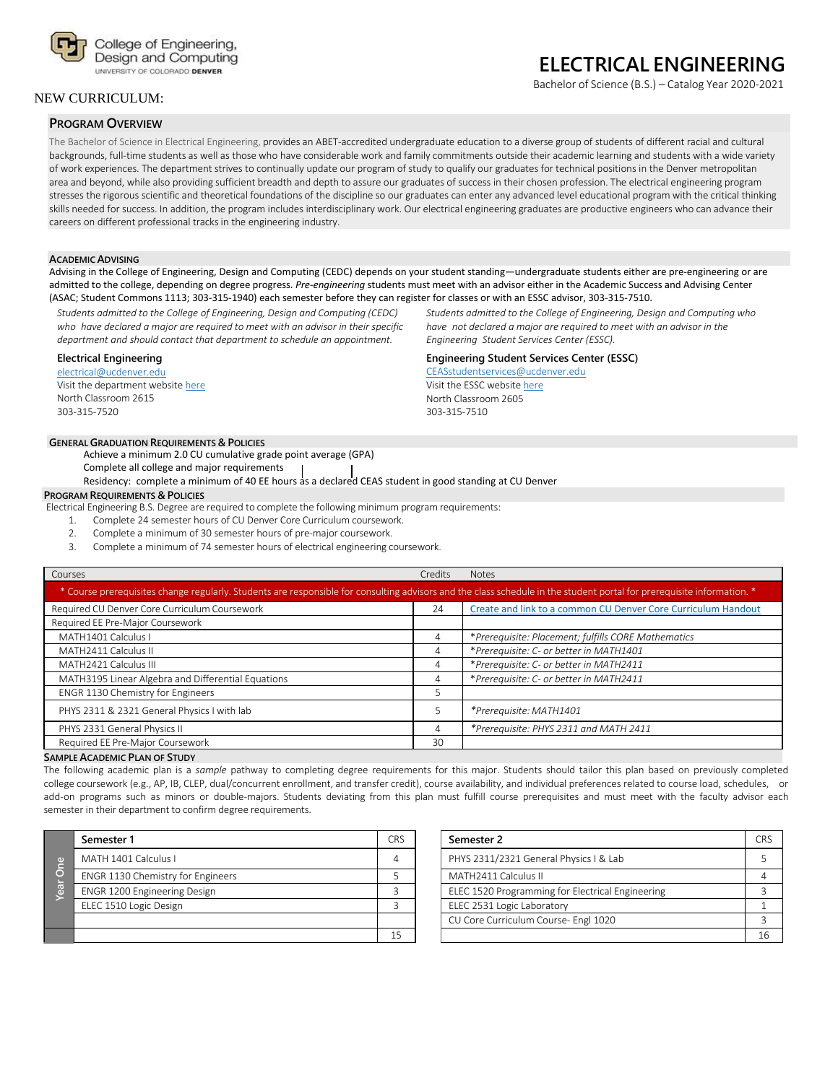

## NEW CURRICULUM:

### **PROGRAM OVERVIEW**

# **ELECTRICAL ENGINEERING**

Bachelor of Science (B.S.) – Catalog Year 2020-2021

The Bachelor of Science in Electrical Engineering, provides an ABET-accredited undergraduate education to a diverse group of students of different racial and cultural backgrounds, full-time students as well as those who have considerable work and family commitments outside their academic learning and students with a wide variety of work experiences. The department strives to continually update our program of study to qualify our graduates for technical positions in the Denver metropolitan area and beyond, while also providing sufficient breadth and depth to assure our graduates of success in their chosen profession. The electrical engineering program stresses the rigorous scientific and theoretical foundations of the discipline so our graduates can enter any advanced level educational program with the critical thinking skills needed for success. In addition, the program includes interdisciplinary work. Our electrical engineering graduates are productive engineers who can advance their careers on different professional tracks in the engineering industry.

#### **ACADEMICADVISING**

Advising in the College of Engineering, Design and Computing (CEDC) depends on your student standing—undergraduate students either are pre-engineering or are admitted to the college, depending on degree progress. *Pre-engineering* students must meet with an advisor either in the Academic Success and Advising Center (ASAC; Student Commons 1113; 303-315-1940) each semester before they can register for classes or with an ESSC advisor, 303-315-7510.

*Students admitted to the College of Engineering, Design and Computing (CEDC) who have declared a major are required to meet with an advisor in their specific department and should contact that department to schedule an appointment.*

#### **Electrical Engineering**

[electrical@ucdenver.edu](mailto:electrical@ucdenver.edu) Visit the department websit[e here](http://www.ucdenver.edu/academics/colleges/Engineering/Programs/Electrical-Engineering/Pages/ElectricalEngineering.aspx) North Classroom 2615 303-315-7520

### **GENERALGRADUATION REQUIREMENTS & POLICIES**

Achieve a minimum 2.0 CU cumulative grade point average (GPA)

Complete all college and major requirements

Residency: complete a minimum of 40 EE hours as a declared CEAS student in good standing at CU Denver

### **PROGRAM REQUIREMENTS & POLICIES**

Electrical Engineering B.S. Degree are required to complete the following minimum program requirements:

1. Complete 24 semester hours of CU Denver Core Curriculum coursework.

- 2. Complete a minimum of 30 semester hours of pre-major coursework.
- 3. Complete a minimum of 74 semester hours of electrical engineering coursework.

| Courses                                                                                                                                                                | <b>Credits</b> | <b>Notes</b>                                                  |  |  |
|------------------------------------------------------------------------------------------------------------------------------------------------------------------------|----------------|---------------------------------------------------------------|--|--|
| * Course prerequisites change regularly. Students are responsible for consulting advisors and the class schedule in the student portal for prerequisite information. * |                |                                                               |  |  |
| Required CU Denver Core Curriculum Coursework                                                                                                                          | 24             | Create and link to a common CU Denver Core Curriculum Handout |  |  |
| Required EE Pre-Major Coursework                                                                                                                                       |                |                                                               |  |  |
| MATH1401 Calculus I                                                                                                                                                    | 4              | *Prerequisite: Placement; fulfills CORE Mathematics           |  |  |
| MATH2411 Calculus II                                                                                                                                                   | 4              | *Prerequisite: C- or better in MATH1401                       |  |  |
| MATH2421 Calculus III                                                                                                                                                  | 4              | *Prerequisite: C- or better in MATH2411                       |  |  |
| MATH3195 Linear Algebra and Differential Equations                                                                                                                     | 4              | *Prerequisite: C- or better in MATH2411                       |  |  |
| ENGR 1130 Chemistry for Engineers                                                                                                                                      |                |                                                               |  |  |
| PHYS 2311 & 2321 General Physics I with lab                                                                                                                            |                | *Prerequisite: MATH1401                                       |  |  |
| PHYS 2331 General Physics II                                                                                                                                           | 4              | *Prerequisite: PHYS 2311 and MATH 2411                        |  |  |
| Required EE Pre-Major Coursework                                                                                                                                       | 30             |                                                               |  |  |

#### **SAMPLE ACADEMIC PLAN OF STUDY**

The following academic plan is a *sample* pathway to completing degree requirements for this major. Students should tailor this plan based on previously completed college coursework (e.g., AP, IB, CLEP, dual/concurrent enrollment, and transfer credit), course availability, and individual preferences related to course load, schedules, or add-on programs such as minors or double-majors. Students deviating from this plan must fulfill course prerequisites and must meet with the faculty advisor each semester in their department to confirm degree requirements.

|        | Semester 1                        | CR <sup>s</sup> |
|--------|-----------------------------------|-----------------|
| e<br>C | MATH 1401 Calculus L              |                 |
| ō      | ENGR 1130 Chemistry for Engineers |                 |
| ear    | ENGR 1200 Engineering Design      |                 |
|        | ELEC 1510 Logic Design            |                 |
|        |                                   |                 |
|        |                                   |                 |

| Semester 2                                       | CR <sup>o</sup> |
|--------------------------------------------------|-----------------|
| PHYS 2311/2321 General Physics   & Lab           |                 |
| MATH2411 Calculus II                             |                 |
| ELEC 1520 Programming for Electrical Engineering |                 |
| ELEC 2531 Logic Laboratory                       |                 |
| CU Core Curriculum Course- Engl 1020             |                 |
|                                                  | 16              |

*Students admitted to the College of Engineering, Design and Computing who have not declared a major are required to meet with an advisor in the Engineering Student Services Center (ESSC).*

## **Engineering Student Services Center (ESSC)**

[CEASstudentservices@ucdenver.edu](mailto:CEASstudentservices@ucdenver.edu) Visit the ESSC websit[e here](http://www.ucdenver.edu/academics/colleges/Engineering/student-services/EngineeringStudentServicesCenter/Pages/default.aspx) North Classroom 2605 303-315-7510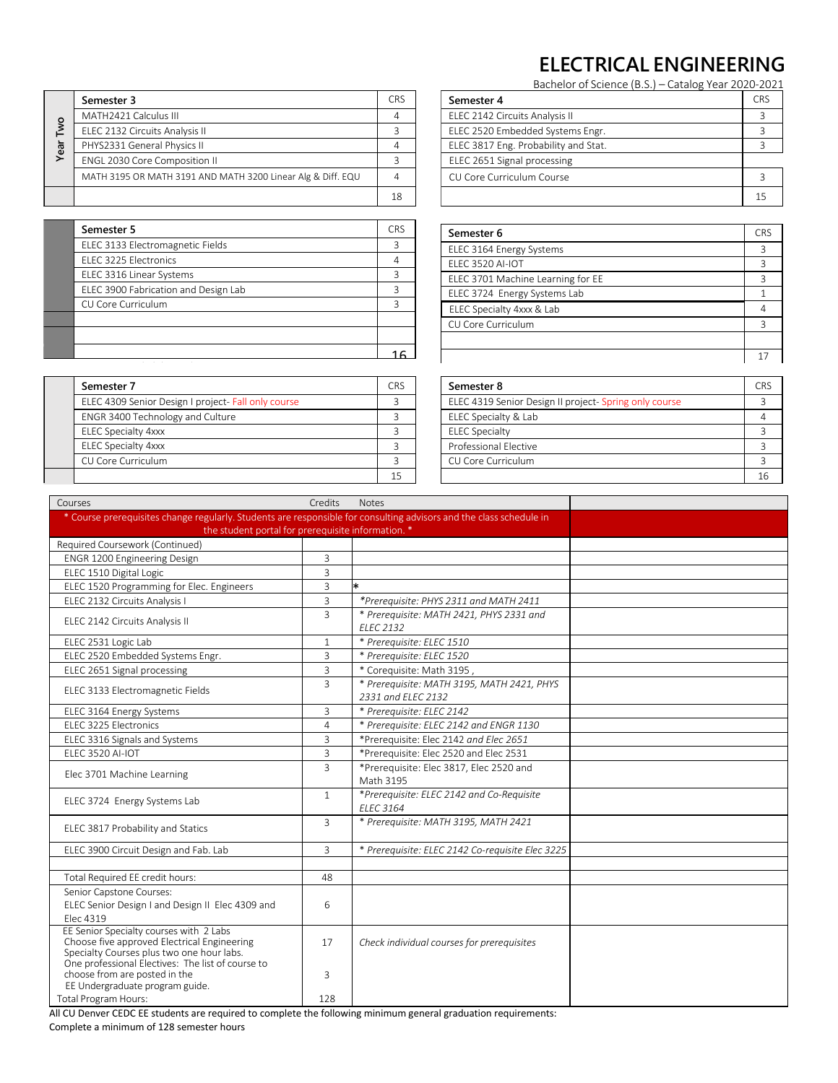## **ELECTRICAL ENGINEERING**

Bachelor of Science (B.S.) – Catalog Year 2020-2021

|            | Semester 3                                                  | CR <sup>s</sup> |
|------------|-------------------------------------------------------------|-----------------|
|            | MATH2421 Calculus III                                       |                 |
| <b>Two</b> | ELEC 2132 Circuits Analysis II                              |                 |
| Year       | PHYS2331 General Physics II                                 |                 |
|            | ENGL 2030 Core Composition II                               |                 |
|            | MATH 3195 OR MATH 3191 AND MATH 3200 Linear Alg & Diff. EQU |                 |
|            |                                                             | 18              |

| Semester 5                           | CR <sup>&lt;</sup> |
|--------------------------------------|--------------------|
| ELEC 3133 Electromagnetic Fields     |                    |
| ELEC 3225 Electronics                |                    |
| ELEC 3316 Linear Systems             |                    |
| ELEC 3900 Fabrication and Design Lab |                    |
| CU Core Curriculum                   |                    |
|                                      |                    |
|                                      |                    |
|                                      |                    |
|                                      |                    |

| Semester 7                                          |  |
|-----------------------------------------------------|--|
| ELEC 4309 Senior Design I project- Fall only course |  |
| ENGR 3400 Technology and Culture                    |  |
| <b>ELEC Specialty 4xxx</b>                          |  |
| <b>ELEC Specialty 4xxx</b>                          |  |
| CU Core Curriculum                                  |  |
|                                                     |  |

| bachelor of Science (B.S.)<br>Catalog TCal 2020 2023 |            |
|------------------------------------------------------|------------|
| Semester 4                                           | <b>CRS</b> |
| ELEC 2142 Circuits Analysis II                       |            |
| ELEC 2520 Embedded Systems Engr.                     |            |
| ELEC 3817 Eng. Probability and Stat.                 |            |
| ELEC 2651 Signal processing                          |            |
| CU Core Curriculum Course                            |            |
|                                                      | 15         |

| Semester 6                        | <b>CRS</b> |
|-----------------------------------|------------|
| ELEC 3164 Energy Systems          | 3          |
| FLFC 3520 AI-IOT                  | 3          |
| ELEC 3701 Machine Learning for EE | 3          |
| ELEC 3724 Energy Systems Lab      |            |
| ELEC Specialty 4xxx & Lab         | 4          |
| CU Core Curriculum                | 3          |
|                                   |            |
|                                   |            |

| Semester 8                                            | CR <sup>s</sup> |
|-------------------------------------------------------|-----------------|
| ELEC 4319 Senior Design II project-Spring only course |                 |
| ELEC Specialty & Lab                                  |                 |
| <b>ELEC Specialty</b>                                 |                 |
| Professional Elective                                 |                 |
| CU Core Curriculum                                    |                 |
|                                                       | 16              |

|                                                                                                                                                                                                                           |                               |                  | −                                               | LLLC 21-72 CITCONS ARRIVED IT                         | ັ              |
|---------------------------------------------------------------------------------------------------------------------------------------------------------------------------------------------------------------------------|-------------------------------|------------------|-------------------------------------------------|-------------------------------------------------------|----------------|
| ELEC 2132 Circuits Analysis II                                                                                                                                                                                            |                               |                  | $\overline{3}$                                  | ELEC 2520 Embedded Systems Engr.                      | 3              |
| Year Two<br>PHYS2331 General Physics II                                                                                                                                                                                   | ENGL 2030 Core Composition II |                  |                                                 | ELEC 3817 Eng. Probability and Stat.                  | 3              |
|                                                                                                                                                                                                                           |                               |                  |                                                 | ELEC 2651 Signal processing                           |                |
| MATH 3195 OR MATH 3191 AND MATH 3200 Linear Alg & Diff. EQU                                                                                                                                                               |                               |                  | 3<br>$\overline{4}$                             | CU Core Curriculum Course                             | 3              |
|                                                                                                                                                                                                                           |                               |                  |                                                 |                                                       |                |
|                                                                                                                                                                                                                           |                               |                  | 18                                              |                                                       | 15             |
| Semester 5                                                                                                                                                                                                                |                               |                  | <b>CRS</b>                                      |                                                       | <b>CRS</b>     |
| ELEC 3133 Electromagnetic Fields                                                                                                                                                                                          |                               |                  | 3                                               | Semester 6                                            |                |
| ELEC 3225 Electronics                                                                                                                                                                                                     |                               |                  | $\overline{4}$                                  | ELEC 3164 Energy Systems                              | 3              |
| ELEC 3316 Linear Systems                                                                                                                                                                                                  |                               |                  | 3                                               | ELEC 3520 AI-IOT                                      | 3              |
| ELEC 3900 Fabrication and Design Lab                                                                                                                                                                                      |                               |                  | $\overline{3}$                                  | ELEC 3701 Machine Learning for EE                     | 3              |
|                                                                                                                                                                                                                           |                               |                  | $\overline{3}$                                  | ELEC 3724 Energy Systems Lab                          | $\mathbf{1}$   |
| CU Core Curriculum                                                                                                                                                                                                        |                               |                  |                                                 | ELEC Specialty 4xxx & Lab                             | $\overline{4}$ |
|                                                                                                                                                                                                                           |                               |                  |                                                 | CU Core Curriculum                                    | 3              |
|                                                                                                                                                                                                                           |                               |                  | 16                                              |                                                       | 17             |
|                                                                                                                                                                                                                           |                               |                  |                                                 |                                                       |                |
| Semester 7                                                                                                                                                                                                                |                               |                  | CRS                                             | Semester 8                                            | <b>CRS</b>     |
| ELEC 4309 Senior Design I project- Fall only course                                                                                                                                                                       |                               |                  | 3                                               | ELEC 4319 Senior Design II project-Spring only course | 3              |
| ENGR 3400 Technology and Culture                                                                                                                                                                                          |                               |                  | 3                                               | ELEC Specialty & Lab                                  | 4              |
| <b>ELEC Specialty 4xxx</b>                                                                                                                                                                                                |                               |                  | 3                                               | <b>ELEC Specialty</b>                                 | 3              |
| <b>ELEC Specialty 4xxx</b>                                                                                                                                                                                                |                               |                  | 3                                               | Professional Elective                                 | 3              |
| CU Core Curriculum                                                                                                                                                                                                        |                               |                  | 3                                               | CU Core Curriculum                                    | 3              |
|                                                                                                                                                                                                                           |                               |                  | 15                                              |                                                       | 16             |
| Courses                                                                                                                                                                                                                   | Credits                       |                  |                                                 |                                                       |                |
| * Course prerequisites change regularly. Students are responsible for consulting advisors and the class schedule in                                                                                                       |                               | Notes            |                                                 |                                                       |                |
| the student portal for prerequisite information. *                                                                                                                                                                        |                               |                  |                                                 |                                                       |                |
| Required Coursework (Continued)                                                                                                                                                                                           |                               |                  |                                                 |                                                       |                |
| ENGR 1200 Engineering Design                                                                                                                                                                                              | 3                             |                  |                                                 |                                                       |                |
| ELEC 1510 Digital Logic                                                                                                                                                                                                   | 3                             |                  |                                                 |                                                       |                |
| ELEC 1520 Programming for Elec. Engineers                                                                                                                                                                                 | 3                             | $\ast$           |                                                 |                                                       |                |
| ELEC 2132 Circuits Analysis I                                                                                                                                                                                             | 3                             |                  |                                                 | *Prerequisite: PHYS 2311 and MATH 2411                |                |
| ELEC 2142 Circuits Analysis II                                                                                                                                                                                            | $\overline{3}$                | <b>ELEC 2132</b> |                                                 | * Prerequisite: MATH 2421, PHYS 2331 and              |                |
| ELEC 2531 Logic Lab                                                                                                                                                                                                       | $\mathbf{1}$                  |                  | * Prerequisite: ELEC 1510                       |                                                       |                |
| ELEC 2520 Embedded Systems Engr.                                                                                                                                                                                          | 3                             |                  | * Prerequisite: ELEC 1520                       |                                                       |                |
| ELEC 2651 Signal processing                                                                                                                                                                                               | 3                             |                  |                                                 | * Corequisite: Math 3195,                             |                |
| ELEC 3133 Electromagnetic Fields                                                                                                                                                                                          | $\overline{3}$                |                  |                                                 | * Prerequisite: MATH 3195, MATH 2421, PHYS            |                |
| ELEC 3164 Energy Systems                                                                                                                                                                                                  | 3                             |                  | 2331 and ELEC 2132<br>* Prerequisite: ELEC 2142 |                                                       |                |
| ELEC 3225 Electronics                                                                                                                                                                                                     | $\overline{4}$                |                  |                                                 | * Prerequisite: ELEC 2142 and ENGR 1130               |                |
| ELEC 3316 Signals and Systems                                                                                                                                                                                             | 3                             |                  |                                                 |                                                       |                |
| <b>ELEC 3520 AI-IOT</b>                                                                                                                                                                                                   |                               |                  |                                                 |                                                       |                |
|                                                                                                                                                                                                                           |                               |                  |                                                 | *Prerequisite: Elec 2142 and Elec 2651                |                |
|                                                                                                                                                                                                                           | 3                             |                  |                                                 | *Prerequisite: Elec 2520 and Elec 2531                |                |
| Elec 3701 Machine Learning                                                                                                                                                                                                | 3                             |                  | Math 3195                                       | *Prerequisite: Elec 3817, Elec 2520 and               |                |
|                                                                                                                                                                                                                           | $\mathbf{1}$                  |                  |                                                 | *Prerequisite: ELEC 2142 and Co-Requisite             |                |
| ELEC 3724 Energy Systems Lab                                                                                                                                                                                              |                               | <b>ELEC 3164</b> |                                                 |                                                       |                |
| ELEC 3817 Probability and Statics                                                                                                                                                                                         | 3                             |                  |                                                 | * Prerequisite: MATH 3195, MATH 2421                  |                |
| ELEC 3900 Circuit Design and Fab. Lab                                                                                                                                                                                     | 3                             |                  |                                                 | * Prerequisite: ELEC 2142 Co-requisite Elec 3225      |                |
|                                                                                                                                                                                                                           |                               |                  |                                                 |                                                       |                |
| Total Required EE credit hours:                                                                                                                                                                                           | 48                            |                  |                                                 |                                                       |                |
| Senior Capstone Courses:<br>ELEC Senior Design I and Design II Elec 4309 and<br>Elec 4319                                                                                                                                 | 6                             |                  |                                                 |                                                       |                |
| EE Senior Specialty courses with 2 Labs<br>Choose five approved Electrical Engineering<br>Specialty Courses plus two one hour labs.<br>One professional Electives: The list of course to<br>choose from are posted in the | 17<br>3                       |                  |                                                 | Check individual courses for prerequisites            |                |
| EE Undergraduate program guide.<br><b>Total Program Hours:</b>                                                                                                                                                            | 128                           |                  |                                                 |                                                       |                |